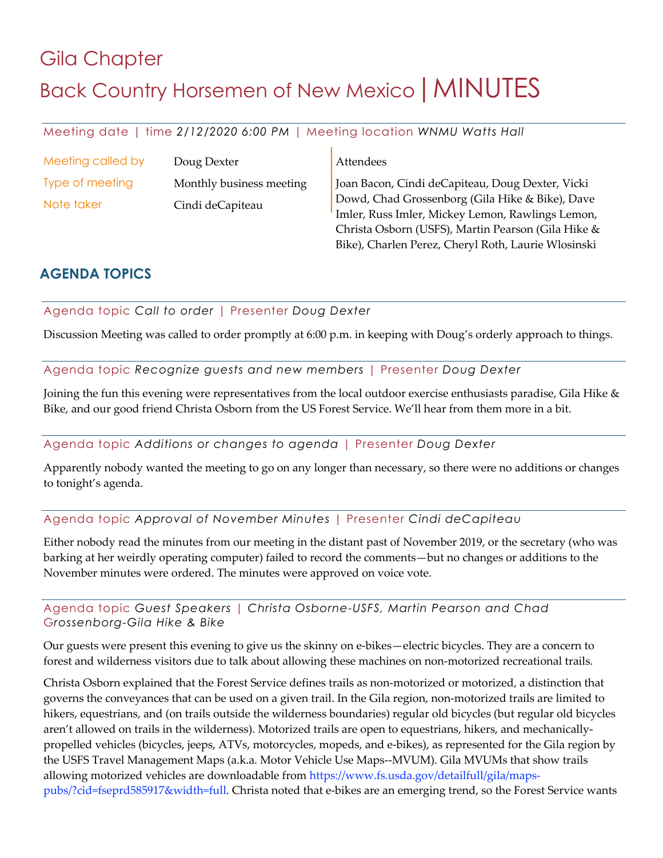# Gila Chapter Back Country Horsemen of New Mexico | MINUTES

Meeting date | time *2/12/2020 6:00 PM* | Meeting location *WNMU Watts Hall*

| Meeting called by | Doug Dexter              | Attendees                                                                                                                                                 |
|-------------------|--------------------------|-----------------------------------------------------------------------------------------------------------------------------------------------------------|
| Type of meeting   | Monthly business meeting | Joan Bacon, Cindi deCapiteau, Doug Dexter, Vicki                                                                                                          |
| Note taker        | Cindi deCapiteau         | Dowd, Chad Grossenborg (Gila Hike & Bike), Dave<br>Imler, Russ Imler, Mickey Lemon, Rawlings Lemon,<br>Christa Osborn (USFS), Martin Pearson (Gila Hike & |

Bike), Charlen Perez, Cheryl Roth, Laurie Wlosinski

# **AGENDA TOPICS**

Agenda topic *Call to order* | Presenter *Doug Dexter*

Discussion Meeting was called to order promptly at 6:00 p.m. in keeping with Doug's orderly approach to things.

Agenda topic *Recognize guests and new members* | Presenter *Doug Dexter*

Joining the fun this evening were representatives from the local outdoor exercise enthusiasts paradise, Gila Hike & Bike, and our good friend Christa Osborn from the US Forest Service. We'll hear from them more in a bit.

#### Agenda topic *Additions or changes to agenda* | Presenter *Doug Dexter*

Apparently nobody wanted the meeting to go on any longer than necessary, so there were no additions or changes to tonight's agenda.

#### Agenda topic *Approval of November Minutes* | Presenter *Cindi deCapiteau*

Either nobody read the minutes from our meeting in the distant past of November 2019, or the secretary (who was barking at her weirdly operating computer) failed to record the comments—but no changes or additions to the November minutes were ordered. The minutes were approved on voice vote.

Agenda topic *Guest Speakers* | *Christa Osborne-USFS, Martin Pearson and Chad*  G*rossenborg-Gila Hike & Bike*

Our guests were present this evening to give us the skinny on e-bikes—electric bicycles. They are a concern to forest and wilderness visitors due to talk about allowing these machines on non-motorized recreational trails.

Christa Osborn explained that the Forest Service defines trails as non-motorized or motorized, a distinction that governs the conveyances that can be used on a given trail. In the Gila region, non-motorized trails are limited to hikers, equestrians, and (on trails outside the wilderness boundaries) regular old bicycles (but regular old bicycles aren't allowed on trails in the wilderness). Motorized trails are open to equestrians, hikers, and mechanicallypropelled vehicles (bicycles, jeeps, ATVs, motorcycles, mopeds, and e-bikes), as represented for the Gila region by the USFS Travel Management Maps (a.k.a. Motor Vehicle Use Maps--MVUM). Gila MVUMs that show trails allowing motorized vehicles are downloadable from https://www.fs.usda.gov/detailfull/gila/mapspubs/?cid=fseprd585917&width=full. Christa noted that e-bikes are an emerging trend, so the Forest Service wants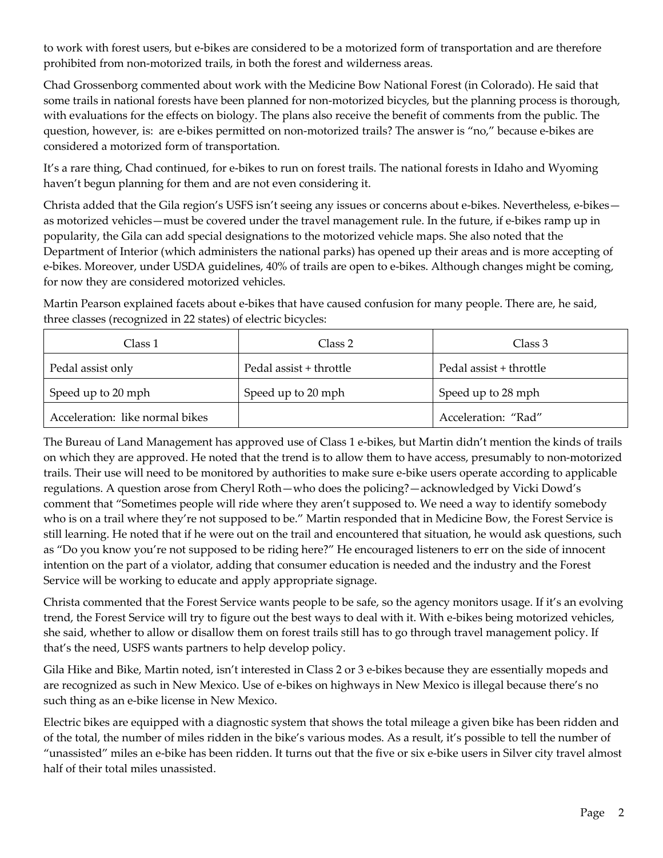to work with forest users, but e-bikes are considered to be a motorized form of transportation and are therefore prohibited from non-motorized trails, in both the forest and wilderness areas.

Chad Grossenborg commented about work with the Medicine Bow National Forest (in Colorado). He said that some trails in national forests have been planned for non-motorized bicycles, but the planning process is thorough, with evaluations for the effects on biology. The plans also receive the benefit of comments from the public. The question, however, is: are e-bikes permitted on non-motorized trails? The answer is "no," because e-bikes are considered a motorized form of transportation.

It's a rare thing, Chad continued, for e-bikes to run on forest trails. The national forests in Idaho and Wyoming haven't begun planning for them and are not even considering it.

Christa added that the Gila region's USFS isn't seeing any issues or concerns about e-bikes. Nevertheless, e-bikes as motorized vehicles—must be covered under the travel management rule. In the future, if e-bikes ramp up in popularity, the Gila can add special designations to the motorized vehicle maps. She also noted that the Department of Interior (which administers the national parks) has opened up their areas and is more accepting of e-bikes. Moreover, under USDA guidelines, 40% of trails are open to e-bikes. Although changes might be coming, for now they are considered motorized vehicles.

Martin Pearson explained facets about e-bikes that have caused confusion for many people. There are, he said, three classes (recognized in 22 states) of electric bicycles:

| Class 1                         | Class 2                 | Class 3                 |  |
|---------------------------------|-------------------------|-------------------------|--|
| Pedal assist only               | Pedal assist + throttle | Pedal assist + throttle |  |
| Speed up to 20 mph              | Speed up to 20 mph      | Speed up to 28 mph      |  |
| Acceleration: like normal bikes |                         | Acceleration: "Rad"     |  |

The Bureau of Land Management has approved use of Class 1 e-bikes, but Martin didn't mention the kinds of trails on which they are approved. He noted that the trend is to allow them to have access, presumably to non-motorized trails. Their use will need to be monitored by authorities to make sure e-bike users operate according to applicable regulations. A question arose from Cheryl Roth—who does the policing?—acknowledged by Vicki Dowd's comment that "Sometimes people will ride where they aren't supposed to. We need a way to identify somebody who is on a trail where they're not supposed to be." Martin responded that in Medicine Bow, the Forest Service is still learning. He noted that if he were out on the trail and encountered that situation, he would ask questions, such as "Do you know you're not supposed to be riding here?" He encouraged listeners to err on the side of innocent intention on the part of a violator, adding that consumer education is needed and the industry and the Forest Service will be working to educate and apply appropriate signage.

Christa commented that the Forest Service wants people to be safe, so the agency monitors usage. If it's an evolving trend, the Forest Service will try to figure out the best ways to deal with it. With e-bikes being motorized vehicles, she said, whether to allow or disallow them on forest trails still has to go through travel management policy. If that's the need, USFS wants partners to help develop policy.

Gila Hike and Bike, Martin noted, isn't interested in Class 2 or 3 e-bikes because they are essentially mopeds and are recognized as such in New Mexico. Use of e-bikes on highways in New Mexico is illegal because there's no such thing as an e-bike license in New Mexico.

Electric bikes are equipped with a diagnostic system that shows the total mileage a given bike has been ridden and of the total, the number of miles ridden in the bike's various modes. As a result, it's possible to tell the number of "unassisted" miles an e-bike has been ridden. It turns out that the five or six e-bike users in Silver city travel almost half of their total miles unassisted.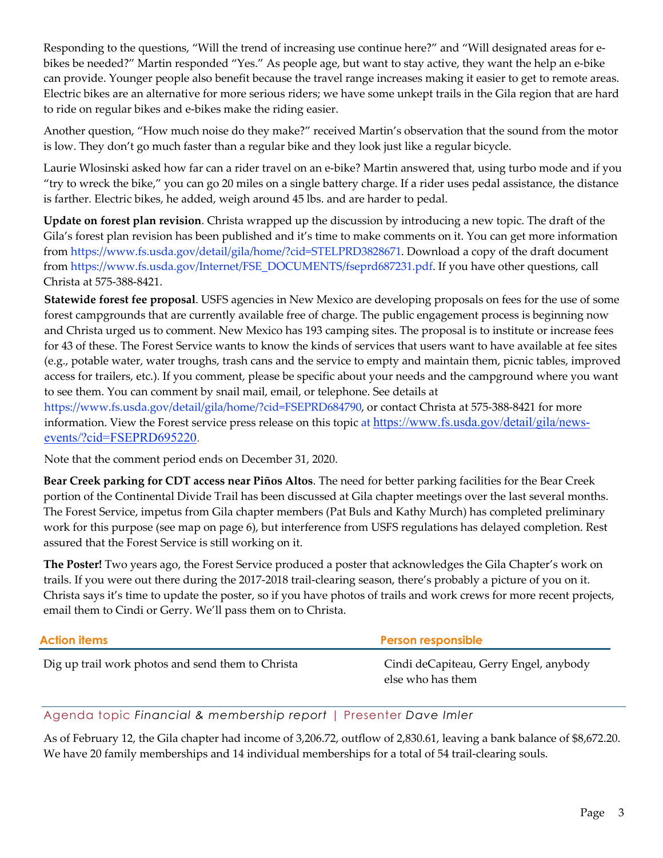Responding to the questions, "Will the trend of increasing use continue here?" and "Will designated areas for ebikes be needed?" Martin responded "Yes." As people age, but want to stay active, they want the help an e-bike can provide. Younger people also benefit because the travel range increases making it easier to get to remote areas. Electric bikes are an alternative for more serious riders; we have some unkept trails in the Gila region that are hard to ride on regular bikes and e-bikes make the riding easier.

Another question, "How much noise do they make?" received Martin's observation that the sound from the motor is low. They don't go much faster than a regular bike and they look just like a regular bicycle.

Laurie Wlosinski asked how far can a rider travel on an e-bike? Martin answered that, using turbo mode and if you "try to wreck the bike," you can go 20 miles on a single battery charge. If a rider uses pedal assistance, the distance is farther. Electric bikes, he added, weigh around 45 lbs. and are harder to pedal.

**Update on forest plan revision**. Christa wrapped up the discussion by introducing a new topic. The draft of the Gila's forest plan revision has been published and it's time to make comments on it. You can get more information from https://www.fs.usda.gov/detail/gila/home/?cid=STELPRD3828671. Download a copy of the draft document from https://www.fs.usda.gov/Internet/FSE\_DOCUMENTS/fseprd687231.pdf. If you have other questions, call Christa at 575-388-8421.

**Statewide forest fee proposal**. USFS agencies in New Mexico are developing proposals on fees for the use of some forest campgrounds that are currently available free of charge. The public engagement process is beginning now and Christa urged us to comment. New Mexico has 193 camping sites. The proposal is to institute or increase fees for 43 of these. The Forest Service wants to know the kinds of services that users want to have available at fee sites (e.g., potable water, water troughs, trash cans and the service to empty and maintain them, picnic tables, improved access for trailers, etc.). If you comment, please be specific about your needs and the campground where you want to see them. You can comment by snail mail, email, or telephone. See details at

https://www.fs.usda.gov/detail/gila/home/?cid=FSEPRD684790, or contact Christa at 575-388-8421 for more information. View the Forest service press release on this topic at https://www.fs.usda.gov/detail/gila/newsevents/?cid=FSEPRD695220.

Note that the comment period ends on December 31, 2020.

**Bear Creek parking for CDT access near Piños Altos**. The need for better parking facilities for the Bear Creek portion of the Continental Divide Trail has been discussed at Gila chapter meetings over the last several months. The Forest Service, impetus from Gila chapter members (Pat Buls and Kathy Murch) has completed preliminary work for this purpose (see map on page 6), but interference from USFS regulations has delayed completion. Rest assured that the Forest Service is still working on it.

**The Poster!** Two years ago, the Forest Service produced a poster that acknowledges the Gila Chapter's work on trails. If you were out there during the 2017-2018 trail-clearing season, there's probably a picture of you on it. Christa says it's time to update the poster, so if you have photos of trails and work crews for more recent projects, email them to Cindi or Gerry. We'll pass them on to Christa.

| Action items                                      | <b>Person responsible</b>                                   |  |
|---------------------------------------------------|-------------------------------------------------------------|--|
| Dig up trail work photos and send them to Christa | Cindi deCapiteau, Gerry Engel, anybody<br>else who has them |  |

## Agenda topic *Financial & membership report* | Presenter *Dave Imler*

As of February 12, the Gila chapter had income of 3,206.72, outflow of 2,830.61, leaving a bank balance of \$8,672.20. We have 20 family memberships and 14 individual memberships for a total of 54 trail-clearing souls.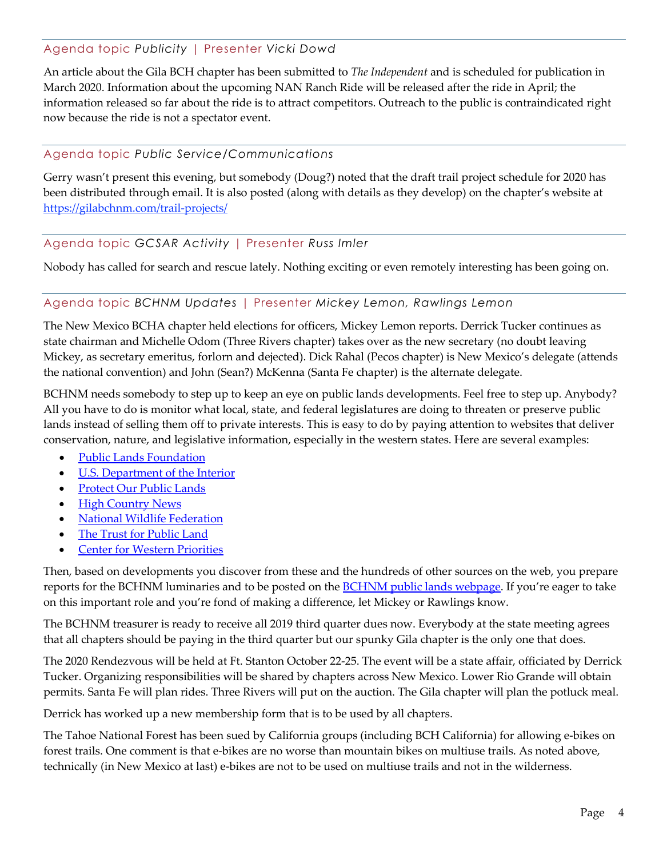## Agenda topic *Publicity* | Presenter *Vicki Dowd*

An article about the Gila BCH chapter has been submitted to *The Independent* and is scheduled for publication in March 2020. Information about the upcoming NAN Ranch Ride will be released after the ride in April; the information released so far about the ride is to attract competitors. Outreach to the public is contraindicated right now because the ride is not a spectator event.

#### Agenda topic *Public Service/Communications*

Gerry wasn't present this evening, but somebody (Doug?) noted that the draft trail project schedule for 2020 has been distributed through email. It is also posted (along with details as they develop) on the chapter's website at https://gilabchnm.com/trail-projects/

## Agenda topic *GCSAR Activity* | Presenter *Russ Imler*

Nobody has called for search and rescue lately. Nothing exciting or even remotely interesting has been going on.

#### Agenda topic *BCHNM Updates* | Presenter *Mickey Lemon, Rawlings Lemon*

The New Mexico BCHA chapter held elections for officers, Mickey Lemon reports. Derrick Tucker continues as state chairman and Michelle Odom (Three Rivers chapter) takes over as the new secretary (no doubt leaving Mickey, as secretary emeritus, forlorn and dejected). Dick Rahal (Pecos chapter) is New Mexico's delegate (attends the national convention) and John (Sean?) McKenna (Santa Fe chapter) is the alternate delegate.

BCHNM needs somebody to step up to keep an eye on public lands developments. Feel free to step up. Anybody? All you have to do is monitor what local, state, and federal legislatures are doing to threaten or preserve public lands instead of selling them off to private interests. This is easy to do by paying attention to websites that deliver conservation, nature, and legislative information, especially in the western states. Here are several examples:

- **Public Lands Foundation**
- [U.S. Department of the Interior](https://www.doi.gov/blog/americas-public-lands-explained)
- [Protect Our Public Lands](https://www.protectourpublicland.org/)
- **[High Country News](https://www.hcn.org/topics/public-lands)**
- **[National Wildlife Federation](https://www.nwf.org/Our-Work/Our-Lands/Public-Lands)**
- [The Trust for Public Land](https://www.tpl.org/?gclid=EAIaIQobChMImLvC65bZ5wIV7yCtBh3_8wznEAUYASAAEgIiqPD_BwE)
- **[Center for Western Priorities](https://westernpriorities.org/)**

Then, based on developments you discover from these and the hundreds of other sources on the web, you prepare reports for the BCHNM luminaries and to be posted on the **BCHNM** public lands webpage. If you're eager to take on this important role and you're fond of making a difference, let Mickey or Rawlings know.

The BCHNM treasurer is ready to receive all 2019 third quarter dues now. Everybody at the state meeting agrees that all chapters should be paying in the third quarter but our spunky Gila chapter is the only one that does.

The 2020 Rendezvous will be held at Ft. Stanton October 22-25. The event will be a state affair, officiated by Derrick Tucker. Organizing responsibilities will be shared by chapters across New Mexico. Lower Rio Grande will obtain permits. Santa Fe will plan rides. Three Rivers will put on the auction. The Gila chapter will plan the potluck meal.

Derrick has worked up a new membership form that is to be used by all chapters.

The Tahoe National Forest has been sued by California groups (including BCH California) for allowing e-bikes on forest trails. One comment is that e-bikes are no worse than mountain bikes on multiuse trails. As noted above, technically (in New Mexico at last) e-bikes are not to be used on multiuse trails and not in the wilderness.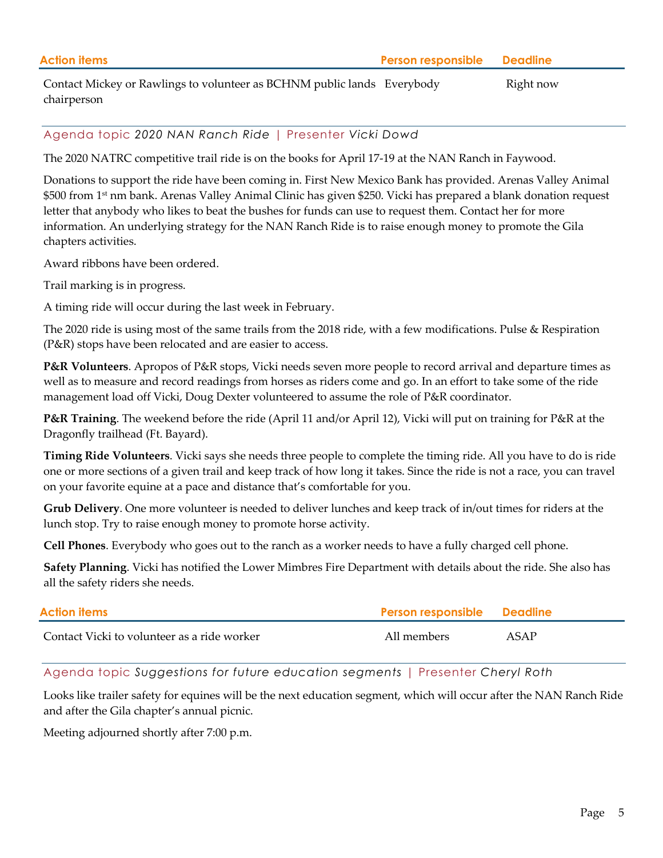| <b>Action items</b>                                                     | <b>Person responsible Deadline</b> |           |
|-------------------------------------------------------------------------|------------------------------------|-----------|
| Contact Mickey or Rawlings to volunteer as BCHNM public lands Everybody |                                    | Right now |

Agenda topic *2020 NAN Ranch Ride* | Presenter *Vicki Dowd*

The 2020 NATRC competitive trail ride is on the books for April 17-19 at the NAN Ranch in Faywood.

Donations to support the ride have been coming in. First New Mexico Bank has provided. Arenas Valley Animal \$500 from 1<sup>st</sup> nm bank. Arenas Valley Animal Clinic has given \$250. Vicki has prepared a blank donation request letter that anybody who likes to beat the bushes for funds can use to request them. Contact her for more information. An underlying strategy for the NAN Ranch Ride is to raise enough money to promote the Gila chapters activities.

Award ribbons have been ordered.

Trail marking is in progress.

chairperson

A timing ride will occur during the last week in February.

The 2020 ride is using most of the same trails from the 2018 ride, with a few modifications. Pulse & Respiration (P&R) stops have been relocated and are easier to access.

**P&R Volunteers**. Apropos of P&R stops, Vicki needs seven more people to record arrival and departure times as well as to measure and record readings from horses as riders come and go. In an effort to take some of the ride management load off Vicki, Doug Dexter volunteered to assume the role of P&R coordinator.

**P&R Training**. The weekend before the ride (April 11 and/or April 12), Vicki will put on training for P&R at the Dragonfly trailhead (Ft. Bayard).

**Timing Ride Volunteers**. Vicki says she needs three people to complete the timing ride. All you have to do is ride one or more sections of a given trail and keep track of how long it takes. Since the ride is not a race, you can travel on your favorite equine at a pace and distance that's comfortable for you.

**Grub Delivery**. One more volunteer is needed to deliver lunches and keep track of in/out times for riders at the lunch stop. Try to raise enough money to promote horse activity.

**Cell Phones**. Everybody who goes out to the ranch as a worker needs to have a fully charged cell phone.

**Safety Planning**. Vicki has notified the Lower Mimbres Fire Department with details about the ride. She also has all the safety riders she needs.

| <b>Action items</b>                         | <b>Person responsible Deadline</b> |      |
|---------------------------------------------|------------------------------------|------|
| Contact Vicki to volunteer as a ride worker | All members                        | ASAP |

Agenda topic *Suggestions for future education segments* | Presenter *Cheryl Roth*

Looks like trailer safety for equines will be the next education segment, which will occur after the NAN Ranch Ride and after the Gila chapter's annual picnic.

Meeting adjourned shortly after 7:00 p.m.